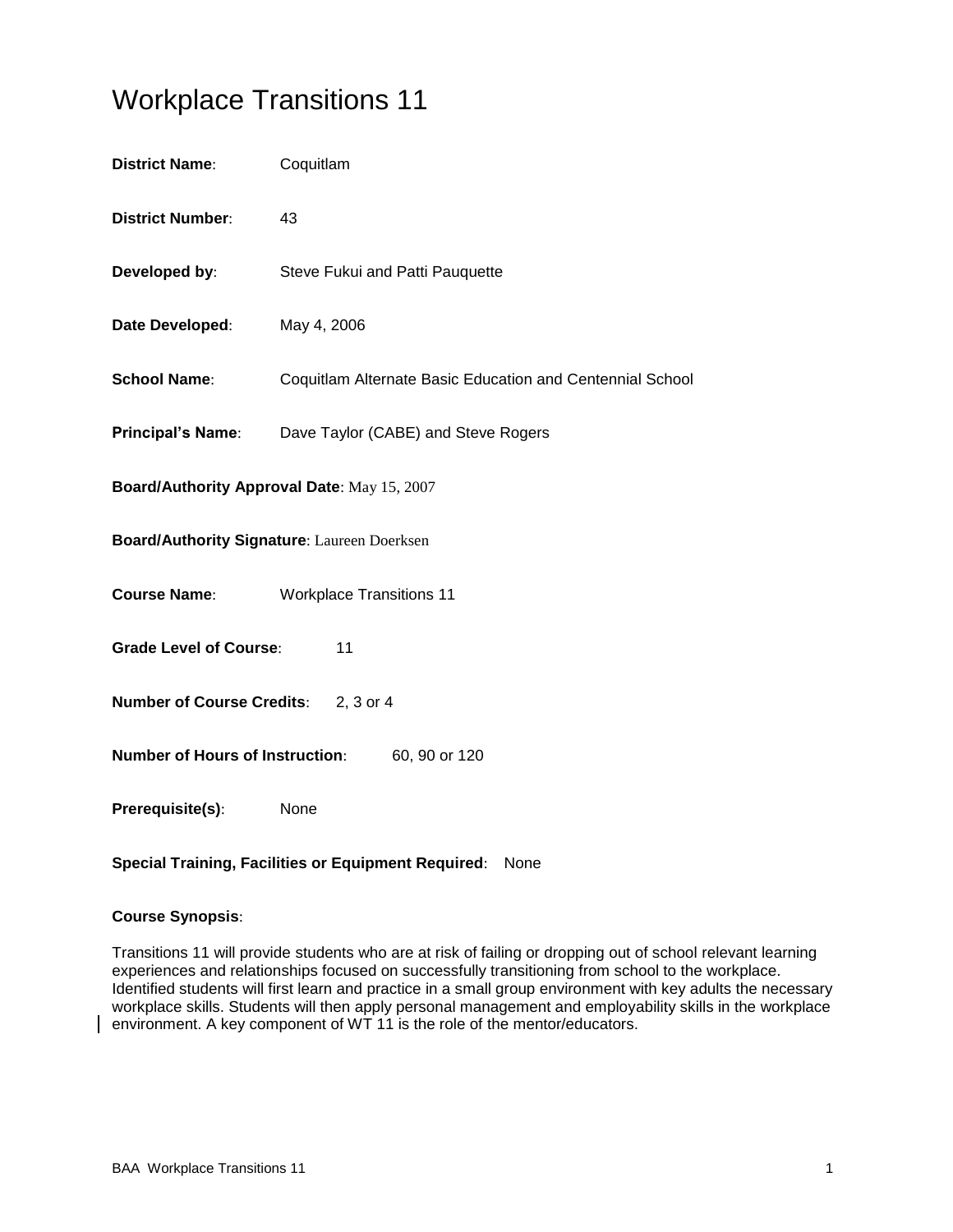# Workplace Transitions 11

| <b>District Name:</b>                                   | Coquitlam                                                 |  |
|---------------------------------------------------------|-----------------------------------------------------------|--|
| <b>District Number:</b>                                 | 43                                                        |  |
| Developed by:                                           | Steve Fukui and Patti Pauquette                           |  |
| Date Developed:                                         | May 4, 2006                                               |  |
| <b>School Name:</b>                                     | Coquitlam Alternate Basic Education and Centennial School |  |
| <b>Principal's Name:</b>                                | Dave Taylor (CABE) and Steve Rogers                       |  |
| Board/Authority Approval Date: May 15, 2007             |                                                           |  |
| <b>Board/Authority Signature: Laureen Doerksen</b>      |                                                           |  |
| <b>Course Name:</b>                                     | <b>Workplace Transitions 11</b>                           |  |
| <b>Grade Level of Course:</b><br>11                     |                                                           |  |
| <b>Number of Course Credits:</b><br>2, 3 or 4           |                                                           |  |
| <b>Number of Hours of Instruction:</b><br>60, 90 or 120 |                                                           |  |
| Prerequisite(s):                                        | None                                                      |  |

## **Special Training, Facilities or Equipment Required**: None

## **Course Synopsis**:

Transitions 11 will provide students who are at risk of failing or dropping out of school relevant learning experiences and relationships focused on successfully transitioning from school to the workplace. Identified students will first learn and practice in a small group environment with key adults the necessary workplace skills. Students will then apply personal management and employability skills in the workplace environment. A key component of WT 11 is the role of the mentor/educators.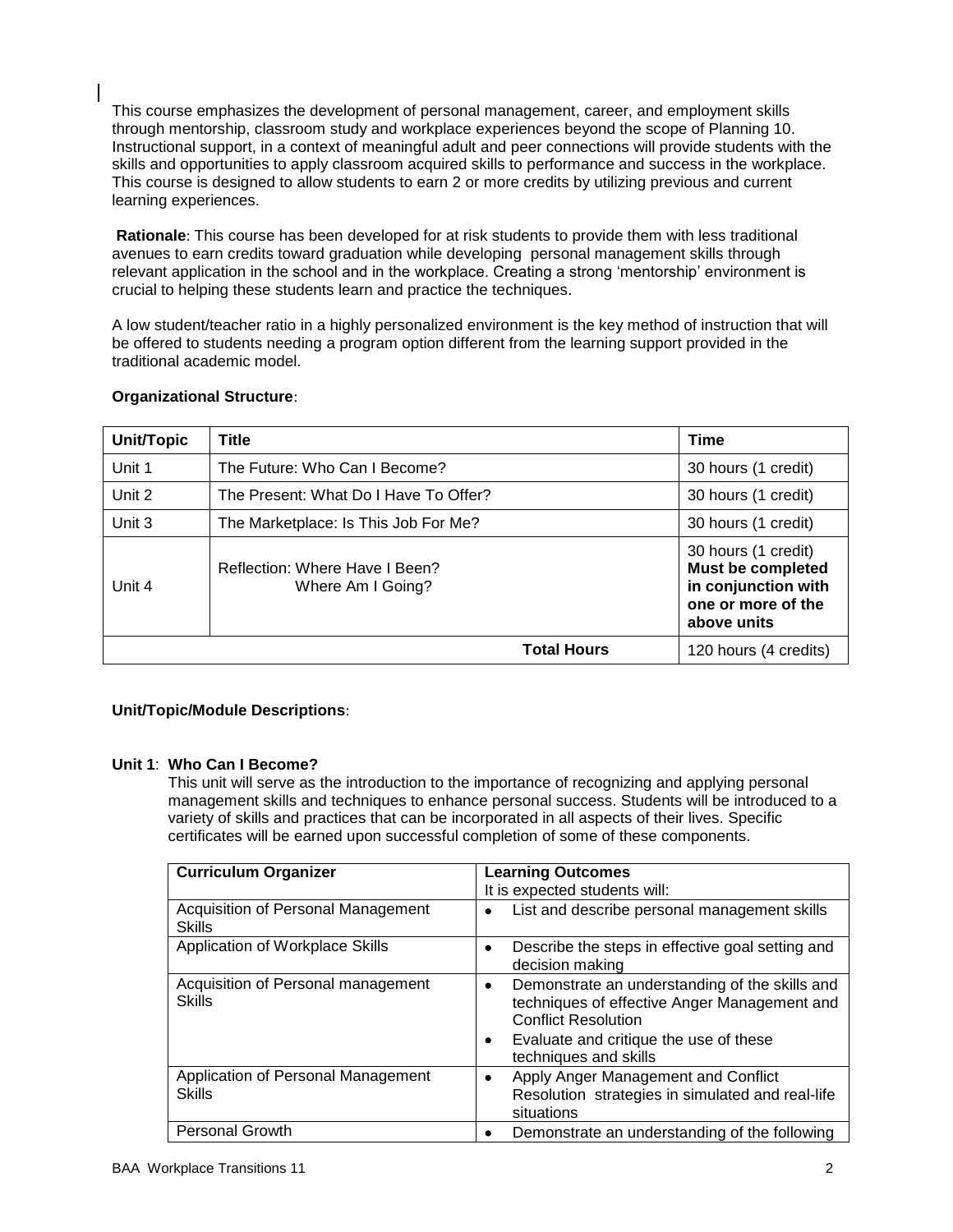This course emphasizes the development of personal management, career, and employment skills through mentorship, classroom study and workplace experiences beyond the scope of Planning 10. Instructional support, in a context of meaningful adult and peer connections will provide students with the skills and opportunities to apply classroom acquired skills to performance and success in the workplace. This course is designed to allow students to earn 2 or more credits by utilizing previous and current learning experiences.

**Rationale**: This course has been developed for at risk students to provide them with less traditional avenues to earn credits toward graduation while developing personal management skills through relevant application in the school and in the workplace. Creating a strong 'mentorship' environment is crucial to helping these students learn and practice the techniques.

A low student/teacher ratio in a highly personalized environment is the key method of instruction that will be offered to students needing a program option different from the learning support provided in the traditional academic model.

| <b>Unit/Topic</b> | <b>Title</b>                                        | Time                                                                                                        |
|-------------------|-----------------------------------------------------|-------------------------------------------------------------------------------------------------------------|
| Unit 1            | The Future: Who Can I Become?                       | 30 hours (1 credit)                                                                                         |
| Unit 2            | The Present: What Do I Have To Offer?               | 30 hours (1 credit)                                                                                         |
| Unit 3            | The Marketplace: Is This Job For Me?                | 30 hours (1 credit)                                                                                         |
| Unit 4            | Reflection: Where Have I Been?<br>Where Am I Going? | 30 hours (1 credit)<br><b>Must be completed</b><br>in conjunction with<br>one or more of the<br>above units |
|                   | <b>Total Hours</b>                                  | 120 hours (4 credits)                                                                                       |

### **Organizational Structure**:

## **Unit/Topic/Module Descriptions**:

#### **Unit 1**: **Who Can I Become?**

This unit will serve as the introduction to the importance of recognizing and applying personal management skills and techniques to enhance personal success. Students will be introduced to a variety of skills and practices that can be incorporated in all aspects of their lives. Specific certificates will be earned upon successful completion of some of these components.

| <b>Curriculum Organizer</b>                         | <b>Learning Outcomes</b>                                                                                                                                                                                  |
|-----------------------------------------------------|-----------------------------------------------------------------------------------------------------------------------------------------------------------------------------------------------------------|
|                                                     | It is expected students will:                                                                                                                                                                             |
| Acquisition of Personal Management<br><b>Skills</b> | List and describe personal management skills                                                                                                                                                              |
| Application of Workplace Skills                     | Describe the steps in effective goal setting and<br>decision making                                                                                                                                       |
| Acquisition of Personal management<br><b>Skills</b> | Demonstrate an understanding of the skills and<br>٠<br>techniques of effective Anger Management and<br><b>Conflict Resolution</b><br>Evaluate and critique the use of these<br>٠<br>techniques and skills |
| Application of Personal Management<br>Skills        | Apply Anger Management and Conflict<br>٠<br>Resolution strategies in simulated and real-life<br>situations                                                                                                |
| <b>Personal Growth</b>                              | Demonstrate an understanding of the following                                                                                                                                                             |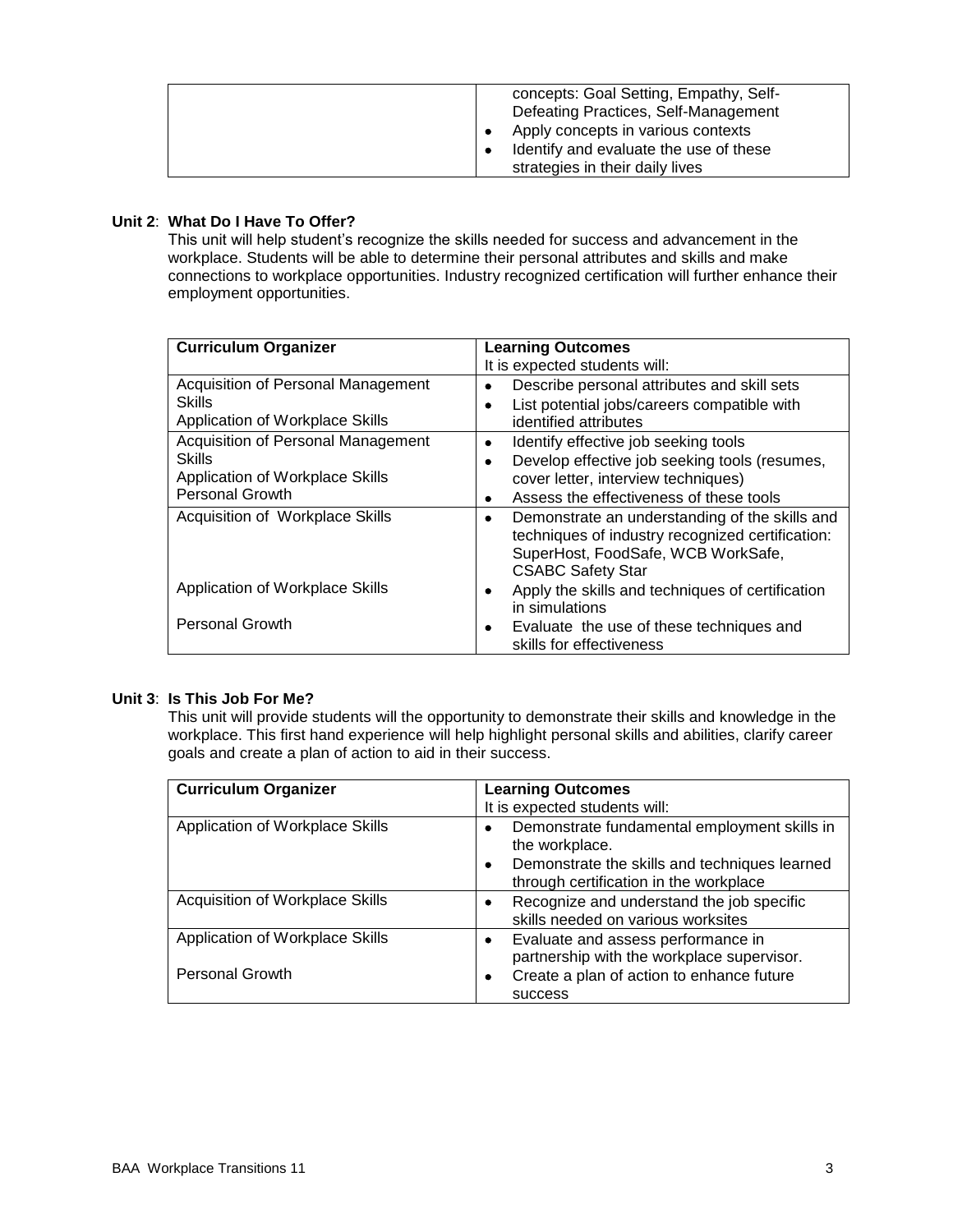|  | concepts: Goal Setting, Empathy, Self-<br>Defeating Practices, Self-Management<br>Apply concepts in various contexts<br>Identify and evaluate the use of these<br>strategies in their daily lives |
|--|---------------------------------------------------------------------------------------------------------------------------------------------------------------------------------------------------|
|--|---------------------------------------------------------------------------------------------------------------------------------------------------------------------------------------------------|

## **Unit 2**: **What Do I Have To Offer?**

This unit will help student's recognize the skills needed for success and advancement in the workplace. Students will be able to determine their personal attributes and skills and make connections to workplace opportunities. Industry recognized certification will further enhance their employment opportunities.

| <b>Curriculum Organizer</b>               | <b>Learning Outcomes</b>                            |
|-------------------------------------------|-----------------------------------------------------|
|                                           | It is expected students will:                       |
| Acquisition of Personal Management        | Describe personal attributes and skill sets<br>٠    |
| <b>Skills</b>                             | List potential jobs/careers compatible with         |
| Application of Workplace Skills           | identified attributes                               |
| <b>Acquisition of Personal Management</b> | Identify effective job seeking tools<br>٠           |
| <b>Skills</b>                             | Develop effective job seeking tools (resumes,       |
| Application of Workplace Skills           | cover letter, interview techniques)                 |
| <b>Personal Growth</b>                    | Assess the effectiveness of these tools<br>٠        |
| Acquisition of Workplace Skills           | Demonstrate an understanding of the skills and<br>٠ |
|                                           | techniques of industry recognized certification:    |
|                                           | SuperHost, FoodSafe, WCB WorkSafe,                  |
|                                           | <b>CSABC Safety Star</b>                            |
| Application of Workplace Skills           | Apply the skills and techniques of certification    |
|                                           | in simulations                                      |
| <b>Personal Growth</b>                    | Evaluate the use of these techniques and<br>٠       |
|                                           | skills for effectiveness                            |

#### **Unit 3**: **Is This Job For Me?**

This unit will provide students will the opportunity to demonstrate their skills and knowledge in the workplace. This first hand experience will help highlight personal skills and abilities, clarify career goals and create a plan of action to aid in their success.

| <b>Curriculum Organizer</b>                               | <b>Learning Outcomes</b><br>It is expected students will:                                                                                                                   |
|-----------------------------------------------------------|-----------------------------------------------------------------------------------------------------------------------------------------------------------------------------|
| Application of Workplace Skills                           | Demonstrate fundamental employment skills in<br>٠<br>the workplace.<br>Demonstrate the skills and techniques learned<br>$\bullet$<br>through certification in the workplace |
| Acquisition of Workplace Skills                           | Recognize and understand the job specific<br>skills needed on various worksites                                                                                             |
| Application of Workplace Skills<br><b>Personal Growth</b> | Evaluate and assess performance in<br>٠<br>partnership with the workplace supervisor.<br>Create a plan of action to enhance future<br>success                               |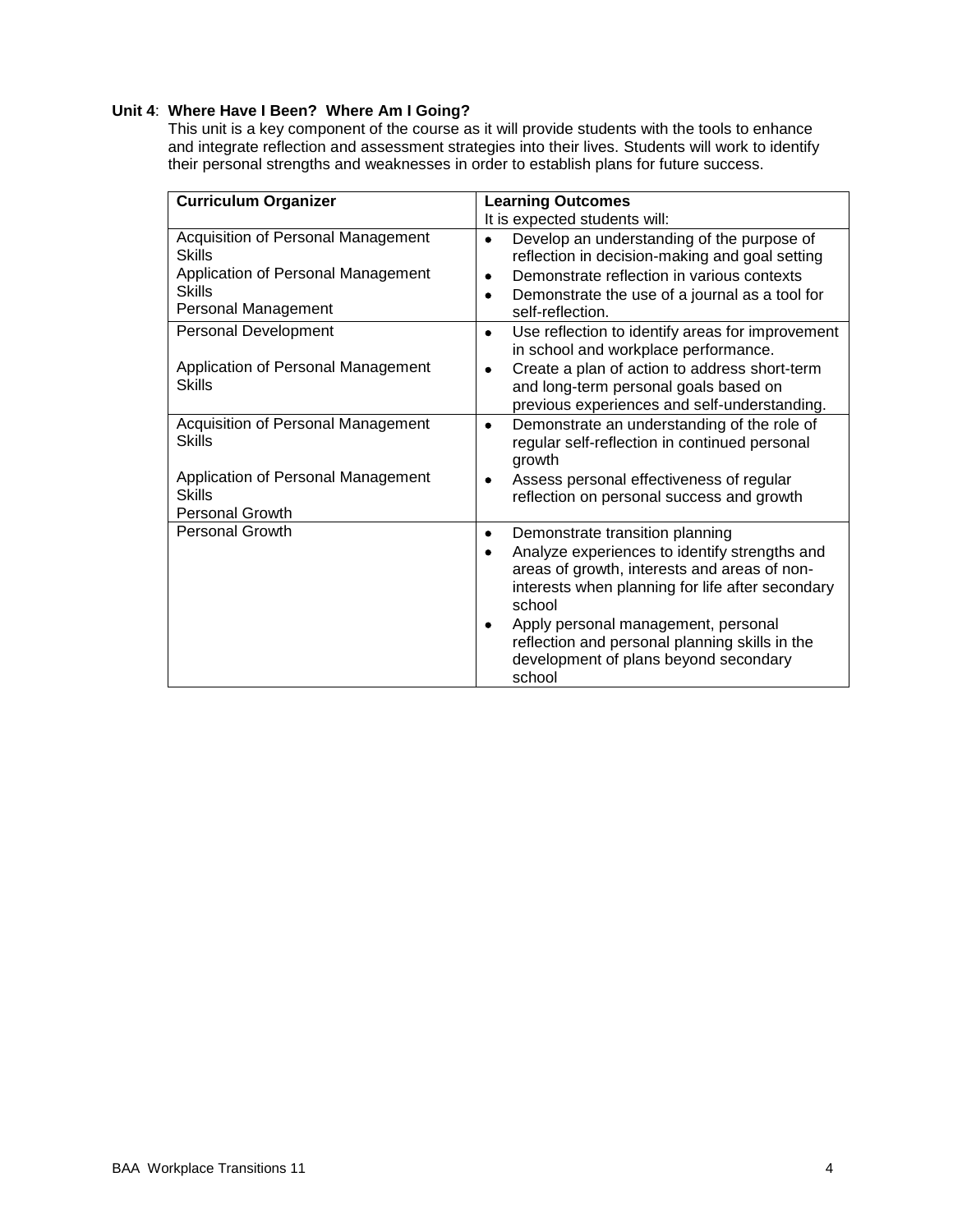## **Unit 4**: **Where Have I Been? Where Am I Going?**

This unit is a key component of the course as it will provide students with the tools to enhance and integrate reflection and assessment strategies into their lives. Students will work to identify their personal strengths and weaknesses in order to establish plans for future success.

| <b>Curriculum Organizer</b>                                                                                                          | <b>Learning Outcomes</b>                                                                                                                                                                                                                                                                                                                             |  |
|--------------------------------------------------------------------------------------------------------------------------------------|------------------------------------------------------------------------------------------------------------------------------------------------------------------------------------------------------------------------------------------------------------------------------------------------------------------------------------------------------|--|
|                                                                                                                                      | It is expected students will:                                                                                                                                                                                                                                                                                                                        |  |
| Acquisition of Personal Management<br><b>Skills</b><br>Application of Personal Management<br><b>Skills</b><br>Personal Management    | Develop an understanding of the purpose of<br>reflection in decision-making and goal setting<br>Demonstrate reflection in various contexts<br>٠<br>Demonstrate the use of a journal as a tool for<br>٠<br>self-reflection.                                                                                                                           |  |
| Personal Development<br>Application of Personal Management<br><b>Skills</b>                                                          | Use reflection to identify areas for improvement<br>٠<br>in school and workplace performance.<br>Create a plan of action to address short-term<br>٠<br>and long-term personal goals based on<br>previous experiences and self-understanding.                                                                                                         |  |
| Acquisition of Personal Management<br><b>Skills</b><br>Application of Personal Management<br><b>Skills</b><br><b>Personal Growth</b> | Demonstrate an understanding of the role of<br>٠<br>regular self-reflection in continued personal<br>growth<br>Assess personal effectiveness of regular<br>٠<br>reflection on personal success and growth                                                                                                                                            |  |
| <b>Personal Growth</b>                                                                                                               | Demonstrate transition planning<br>٠<br>Analyze experiences to identify strengths and<br>٠<br>areas of growth, interests and areas of non-<br>interests when planning for life after secondary<br>school<br>Apply personal management, personal<br>reflection and personal planning skills in the<br>development of plans beyond secondary<br>school |  |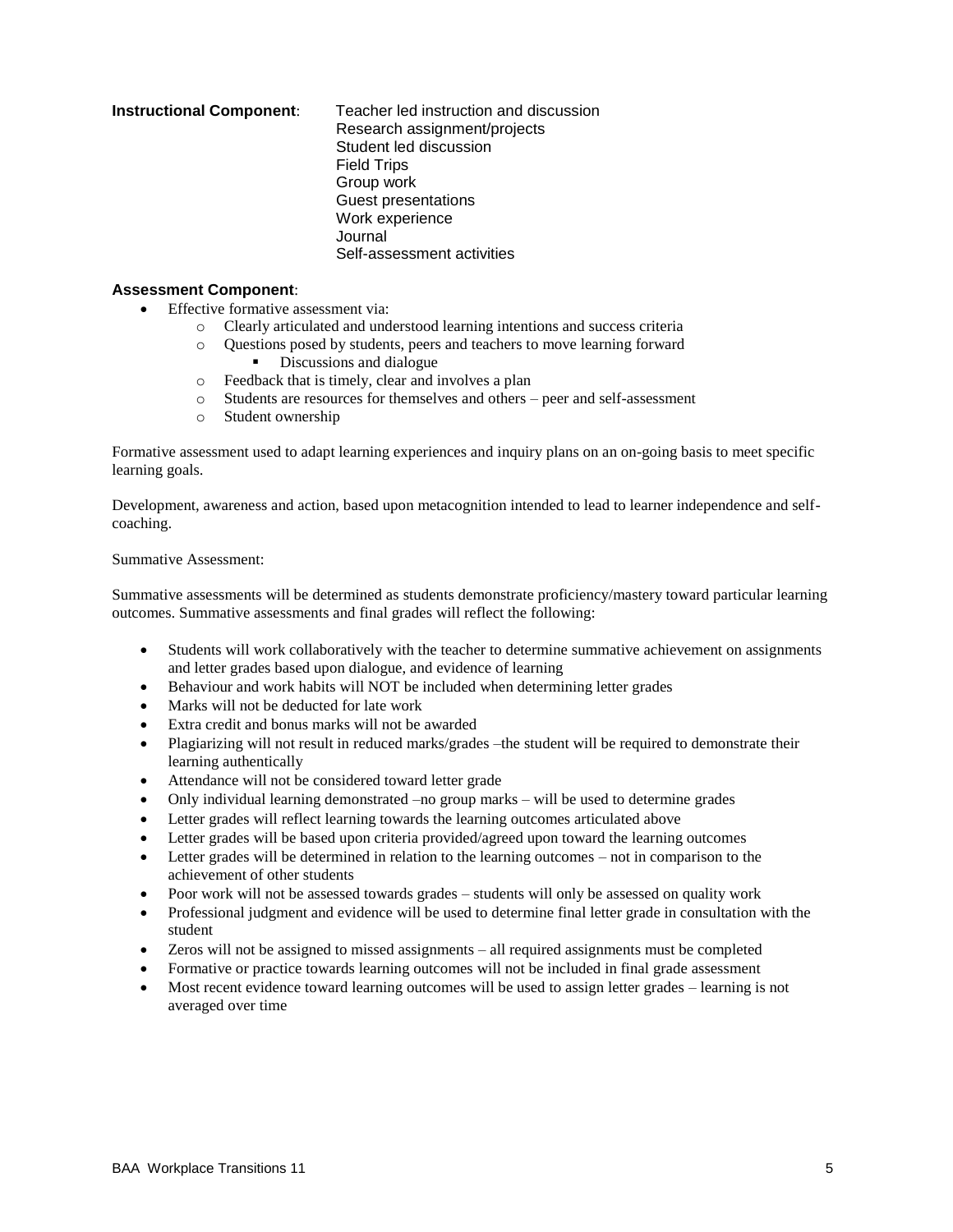**Instructional Component**: Teacher led instruction and discussion Research assignment/projects Student led discussion Field Trips Group work Guest presentations Work experience Journal Self-assessment activities

#### **Assessment Component**:

- Effective formative assessment via:
	- o Clearly articulated and understood learning intentions and success criteria
	- o Questions posed by students, peers and teachers to move learning forward
		- Discussions and dialogue
	- o Feedback that is timely, clear and involves a plan
	- o Students are resources for themselves and others peer and self-assessment
	- o Student ownership

Formative assessment used to adapt learning experiences and inquiry plans on an on-going basis to meet specific learning goals.

Development, awareness and action, based upon metacognition intended to lead to learner independence and selfcoaching.

#### Summative Assessment:

Summative assessments will be determined as students demonstrate proficiency/mastery toward particular learning outcomes. Summative assessments and final grades will reflect the following:

- Students will work collaboratively with the teacher to determine summative achievement on assignments and letter grades based upon dialogue, and evidence of learning
- Behaviour and work habits will NOT be included when determining letter grades
- Marks will not be deducted for late work
- Extra credit and bonus marks will not be awarded
- Plagiarizing will not result in reduced marks/grades –the student will be required to demonstrate their learning authentically
- Attendance will not be considered toward letter grade
- Only individual learning demonstrated –no group marks will be used to determine grades
- Letter grades will reflect learning towards the learning outcomes articulated above
- Letter grades will be based upon criteria provided/agreed upon toward the learning outcomes
- Letter grades will be determined in relation to the learning outcomes not in comparison to the achievement of other students
- Poor work will not be assessed towards grades students will only be assessed on quality work
- Professional judgment and evidence will be used to determine final letter grade in consultation with the student
- Zeros will not be assigned to missed assignments all required assignments must be completed
- Formative or practice towards learning outcomes will not be included in final grade assessment
- Most recent evidence toward learning outcomes will be used to assign letter grades learning is not averaged over time